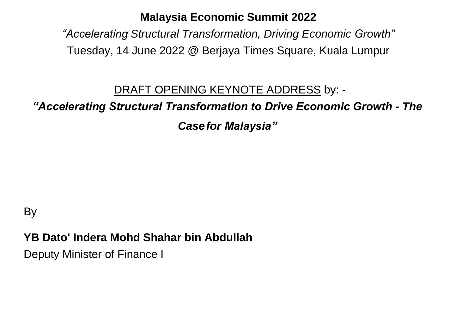#### **Malaysia Economic Summit 2022**

*"Accelerating Structural Transformation, Driving Economic Growth"* Tuesday, 14 June 2022 @ Berjaya Times Square, Kuala Lumpur

#### DRAFT OPENING KEYNOTE ADDRESS by: -

#### *"Accelerating Structural Transformation to Drive Economic Growth - The*

*Casefor Malaysia"*

### **By**

#### **YB Dato' Indera Mohd Shahar bin Abdullah**

Deputy Minister of Finance I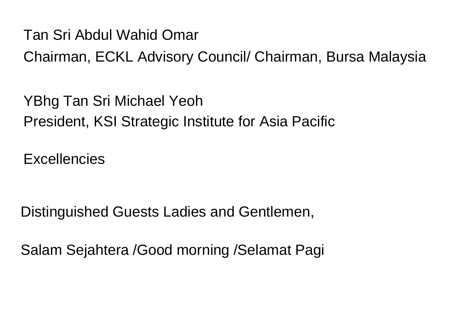Tan Sri Abdul Wahid Omar

Chairman, ECKL Advisory Council/ Chairman, Bursa Malaysia

YBhg Tan Sri Michael Yeoh President, KSI Strategic Institute for Asia Pacific

**Excellencies** 

Distinguished Guests Ladies and Gentlemen,

Salam Sejahtera /Good morning /Selamat Pagi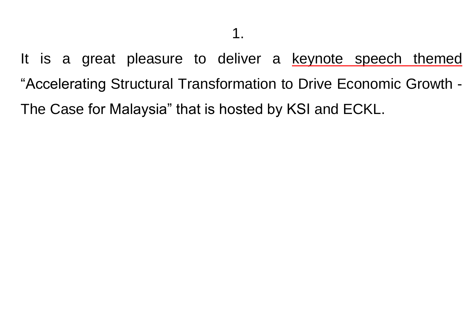It is a great pleasure to deliver a keynote speech themed "Accelerating Structural Transformation to Drive Economic Growth - The Case for Malaysia" that is hosted by KSI and ECKL.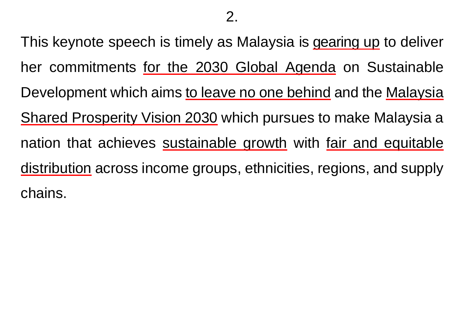This keynote speech is timely as Malaysia is gearing up to deliver her commitments for the 2030 Global Agenda on Sustainable Development which aims to leave no one behind and the Malaysia Shared Prosperity Vision 2030 which pursues to make Malaysia a nation that achieves sustainable growth with fair and equitable distribution across income groups, ethnicities, regions, and supply chains.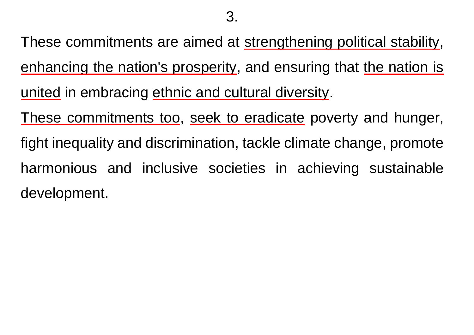These commitments are aimed at strengthening political stability, enhancing the nation's prosperity, and ensuring that the nation is united in embracing ethnic and cultural diversity.

These commitments too, seek to eradicate poverty and hunger, fight inequality and discrimination, tackle climate change, promote harmonious and inclusive societies in achieving sustainable development.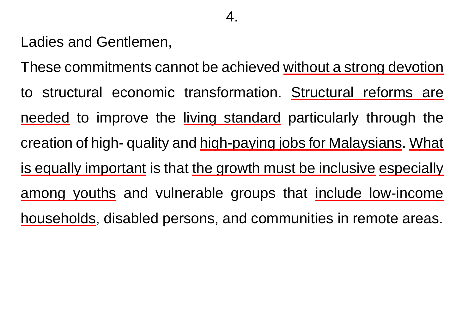Ladies and Gentlemen,

These commitments cannot be achieved without a strong devotion to structural economic transformation. Structural reforms are needed to improve the living standard particularly through the creation of high- quality and high-paying jobs for Malaysians. What is equally important is that the growth must be inclusive especially among youths and vulnerable groups that include low-income households, disabled persons, and communities in remote areas.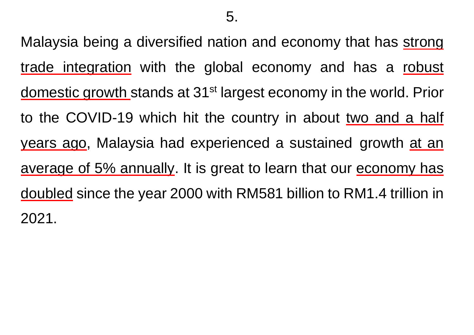Malaysia being a diversified nation and economy that has strong trade integration with the global economy and has a robust domestic growth stands at 31st largest economy in the world. Prior to the COVID-19 which hit the country in about two and a half years ago, Malaysia had experienced a sustained growth at an average of 5% annually. It is great to learn that our economy has doubled since the year 2000 with RM581 billion to RM1.4 trillion in 2021.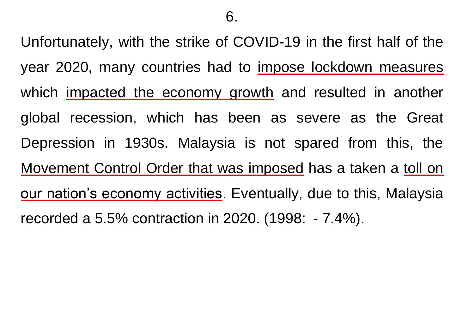Unfortunately, with the strike of COVID-19 in the first half of the year 2020, many countries had to impose lockdown measures which impacted the economy growth and resulted in another global recession, which has been as severe as the Great Depression in 1930s. Malaysia is not spared from this, the Movement Control Order that was imposed has a taken a toll on our nation's economy activities. Eventually, due to this, Malaysia recorded a 5.5% contraction in 2020. (1998: - 7.4%).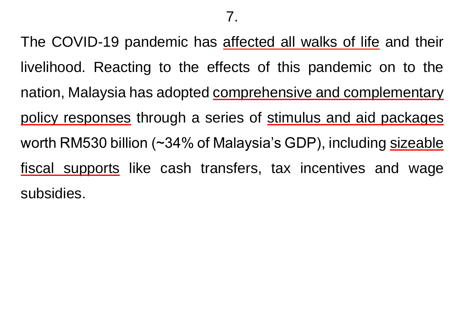The COVID-19 pandemic has affected all walks of life and their livelihood. Reacting to the effects of this pandemic on to the nation, Malaysia has adopted comprehensive and complementary policy responses through a series of stimulus and aid packages worth RM530 billion (~34% of Malaysia's GDP), including sizeable fiscal supports like cash transfers, tax incentives and wage subsidies.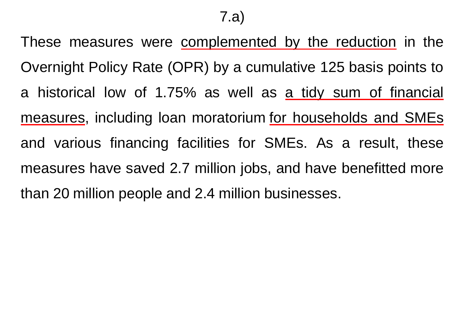These measures were complemented by the reduction in the Overnight Policy Rate (OPR) by a cumulative 125 basis points to a historical low of 1.75% as well as a tidy sum of financial measures, including loan moratorium for households and SMEs and various financing facilities for SMEs. As a result, these measures have saved 2.7 million jobs, and have benefitted more than 20 million people and 2.4 million businesses.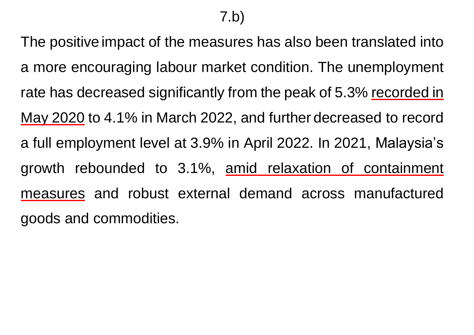The positive impact of the measures has also been translated into a more encouraging labour market condition. The unemployment rate has decreased significantly from the peak of 5.3% recorded in May 2020 to 4.1% in March 2022, and further decreased to record a full employment level at 3.9% in April 2022. In 2021, Malaysia's growth rebounded to 3.1%, amid relaxation of containment measures and robust external demand across manufactured goods and commodities.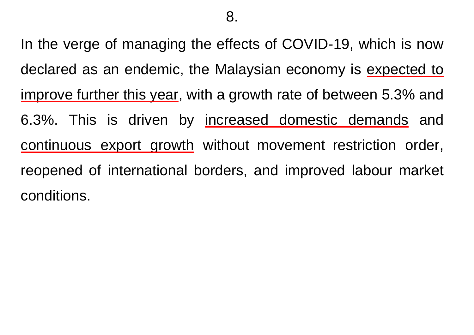In the verge of managing the effects of COVID-19, which is now declared as an endemic, the Malaysian economy is expected to improve further this year, with a growth rate of between 5.3% and 6.3%. This is driven by increased domestic demands and continuous export growth without movement restriction order, reopened of international borders, and improved labour market conditions.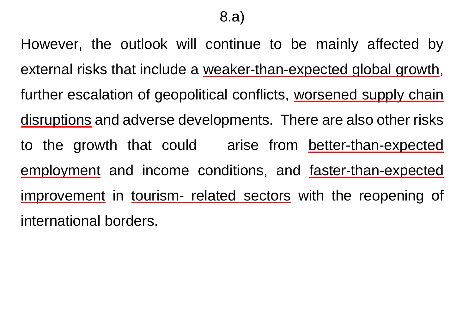However, the outlook will continue to be mainly affected by external risks that include a weaker-than-expected global growth, further escalation of geopolitical conflicts, worsened supply chain disruptions and adverse developments. There are also other risks to the growth that could arise from better-than-expected employment and income conditions, and faster-than-expected improvement in tourism- related sectors with the reopening of international borders.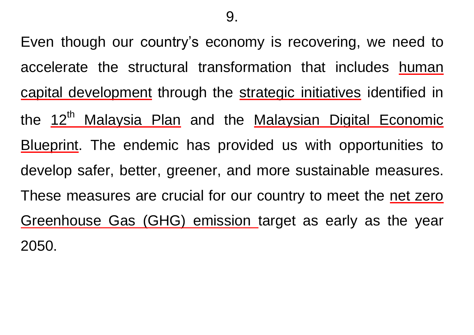Even though our country's economy is recovering, we need to accelerate the structural transformation that includes human capital development through the strategic initiatives identified in the 12<sup>th</sup> Malaysia Plan and the Malaysian Digital Economic Blueprint. The endemic has provided us with opportunities to develop safer, better, greener, and more sustainable measures. These measures are crucial for our country to meet the net zero Greenhouse Gas (GHG) emission target as early as the year 2050.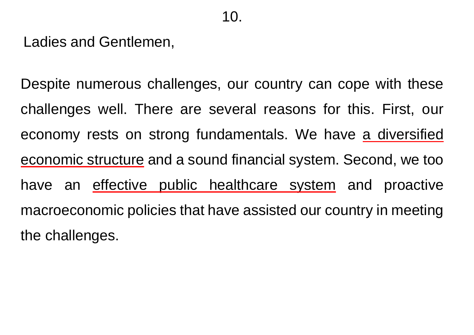Ladies and Gentlemen,

Despite numerous challenges, our country can cope with these challenges well. There are several reasons for this. First, our economy rests on strong fundamentals. We have a diversified economic structure and a sound financial system. Second, we too have an effective public healthcare system and proactive macroeconomic policies that have assisted our country in meeting the challenges.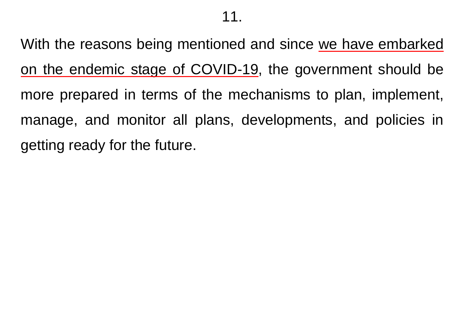With the reasons being mentioned and since we have embarked on the endemic stage of COVID-19, the government should be more prepared in terms of the mechanisms to plan, implement, manage, and monitor all plans, developments, and policies in getting ready for the future.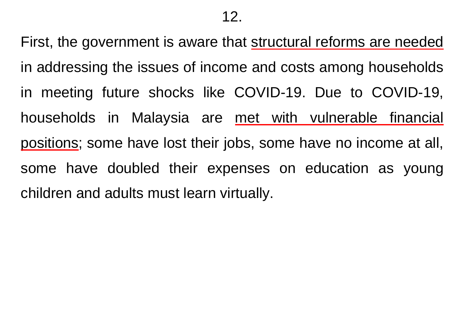First, the government is aware that structural reforms are needed in addressing the issues of income and costs among households in meeting future shocks like COVID-19. Due to COVID-19, households in Malaysia are met with vulnerable financial positions; some have lost their jobs, some have no income at all, some have doubled their expenses on education as young children and adults must learn virtually.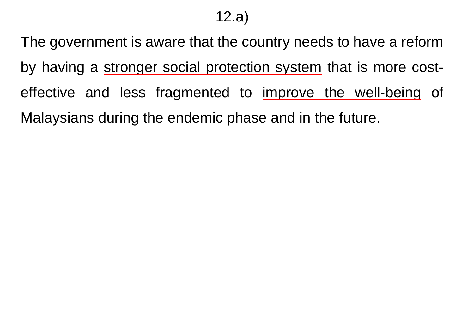## 12.a)

The government is aware that the country needs to have a reform by having a stronger social protection system that is more costeffective and less fragmented to improve the well-being of Malaysians during the endemic phase and in the future.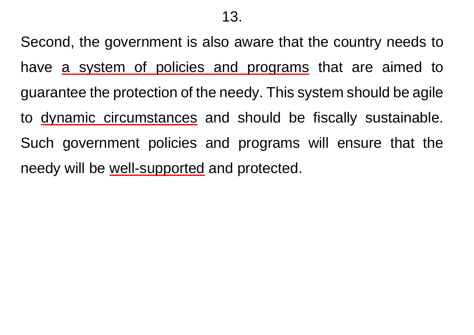Second, the government is also aware that the country needs to have a system of policies and programs that are aimed to guarantee the protection of the needy. This system should be agile to dynamic circumstances and should be fiscally sustainable. Such government policies and programs will ensure that the needy will be well-supported and protected.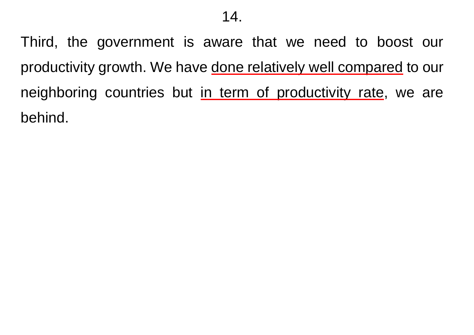Third, the government is aware that we need to boost our productivity growth. We have done relatively well compared to our neighboring countries but in term of productivity rate, we are behind.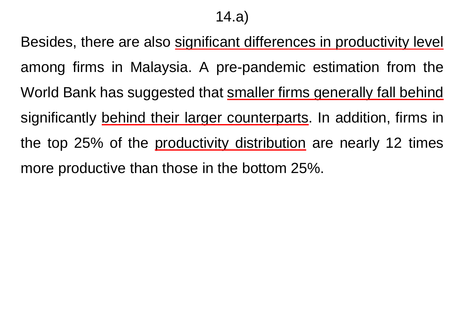14.a)

Besides, there are also significant differences in productivity level among firms in Malaysia. A pre-pandemic estimation from the World Bank has suggested that smaller firms generally fall behind significantly behind their larger counterparts. In addition, firms in the top 25% of the productivity distribution are nearly 12 times more productive than those in the bottom 25%.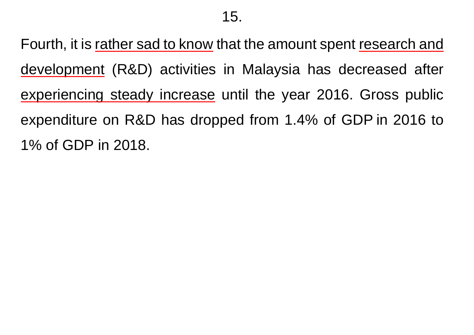Fourth, it is rather sad to know that the amount spent research and development (R&D) activities in Malaysia has decreased after experiencing steady increase until the year 2016. Gross public expenditure on R&D has dropped from 1.4% of GDP in 2016 to 1% of GDP in 2018.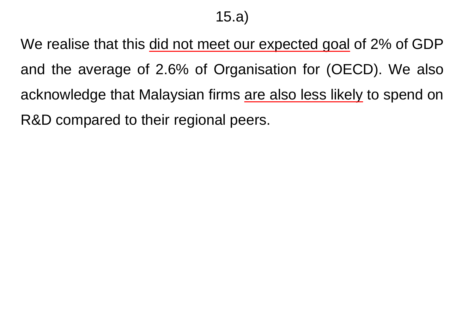# 15.a)

We realise that this did not meet our expected goal of 2% of GDP and the average of 2.6% of Organisation for (OECD). We also acknowledge that Malaysian firms are also less likely to spend on R&D compared to their regional peers.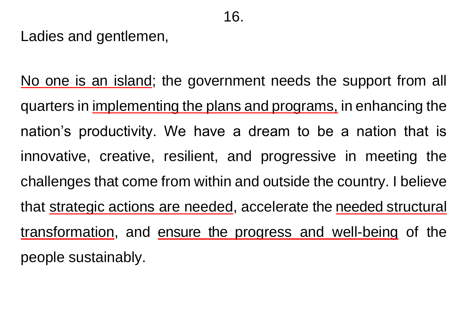Ladies and gentlemen,

No one is an island; the government needs the support from all quarters in implementing the plans and programs, in enhancing the nation's productivity. We have a dream to be a nation that is innovative, creative, resilient, and progressive in meeting the challenges that come from within and outside the country. I believe that strategic actions are needed, accelerate the needed structural transformation, and ensure the progress and well-being of the people sustainably.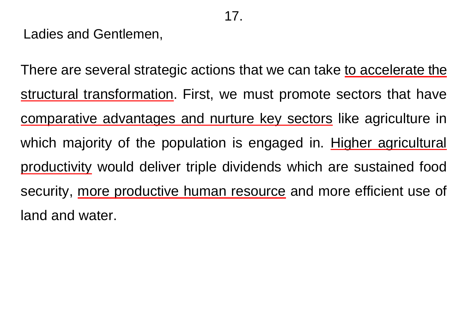Ladies and Gentlemen,

There are several strategic actions that we can take to accelerate the structural transformation. First, we must promote sectors that have comparative advantages and nurture key sectors like agriculture in which majority of the population is engaged in. Higher agricultural productivity would deliver triple dividends which are sustained food security, more productive human resource and more efficient use of land and water.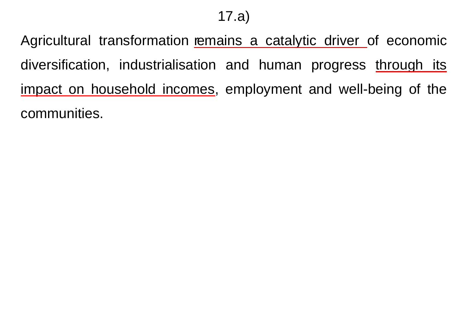17.a)

Agricultural transformation remains a catalytic driver of economic diversification, industrialisation and human progress through its impact on household incomes, employment and well-being of the communities.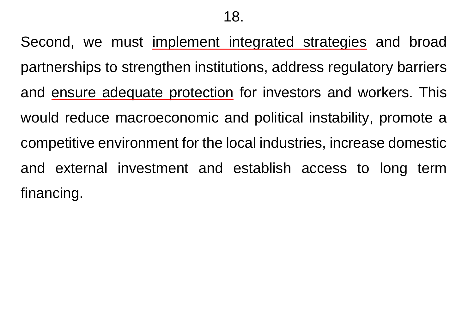Second, we must implement integrated strategies and broad partnerships to strengthen institutions, address regulatory barriers and ensure adequate protection for investors and workers. This would reduce macroeconomic and political instability, promote a competitive environment for the local industries, increase domestic and external investment and establish access to long term financing.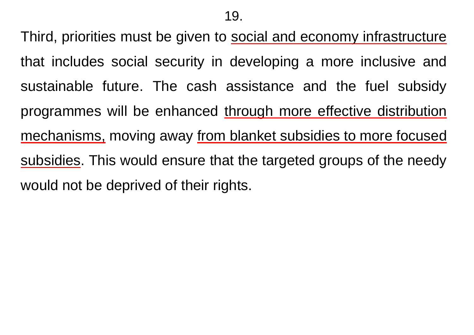Third, priorities must be given to social and economy infrastructure that includes social security in developing a more inclusive and sustainable future. The cash assistance and the fuel subsidy programmes will be enhanced through more effective distribution mechanisms, moving away from blanket subsidies to more focused subsidies. This would ensure that the targeted groups of the needy would not be deprived of their rights.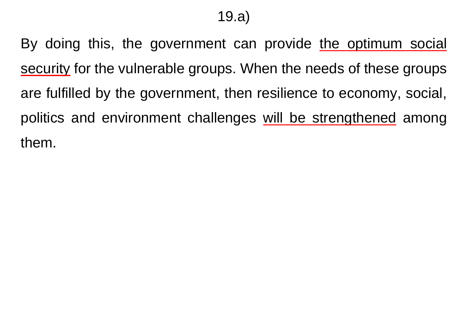By doing this, the government can provide the optimum social security for the vulnerable groups. When the needs of these groups are fulfilled by the government, then resilience to economy, social, politics and environment challenges will be strengthened among them.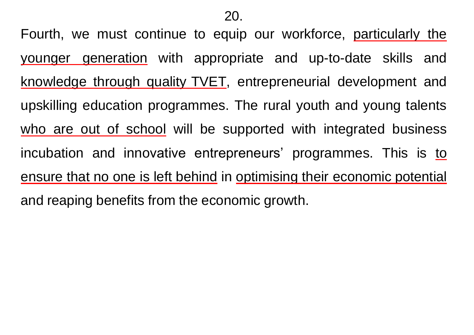Fourth, we must continue to equip our workforce, particularly the younger generation with appropriate and up-to-date skills and knowledge through quality TVET, entrepreneurial development and upskilling education programmes. The rural youth and young talents who are out of school will be supported with integrated business incubation and innovative entrepreneurs' programmes. This is to ensure that no one is left behind in optimising their economic potential and reaping benefits from the economic growth.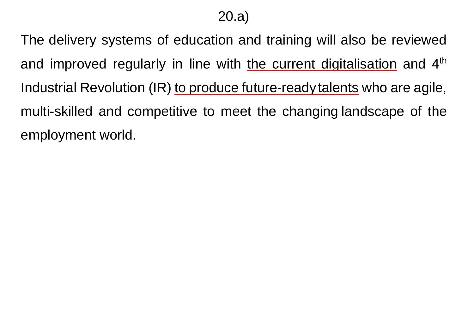20.a)

The delivery systems of education and training will also be reviewed and improved regularly in line with the current digitalisation and 4<sup>th</sup> Industrial Revolution (IR) to produce future-ready talents who are agile, multi-skilled and competitive to meet the changing landscape of the employment world.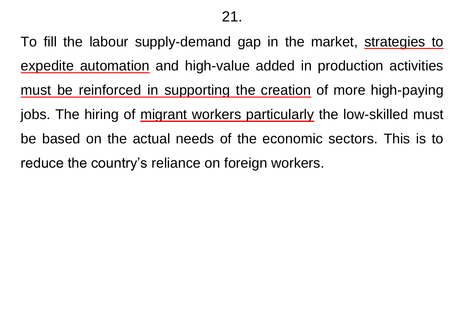To fill the labour supply-demand gap in the market, strategies to expedite automation and high-value added in production activities must be reinforced in supporting the creation of more high-paying jobs. The hiring of migrant workers particularly the low-skilled must be based on the actual needs of the economic sectors. This is to reduce the country's reliance on foreign workers.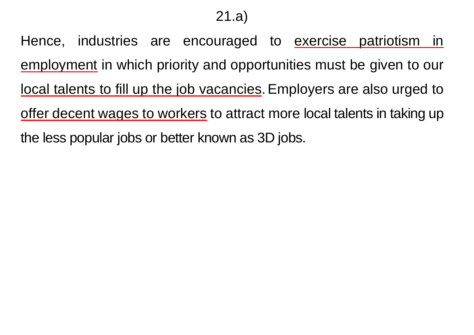21.a)

Hence, industries are encouraged to exercise patriotism in employment in which priority and opportunities must be given to our local talents to fill up the job vacancies.Employers are also urged to offer decent wages to workers to attract more local talents in taking up the less popular jobs or better known as 3D jobs.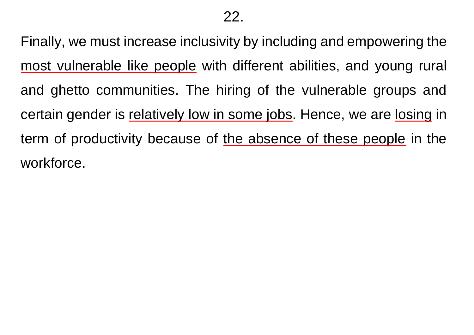Finally, we must increase inclusivity by including and empowering the most vulnerable like people with different abilities, and young rural and ghetto communities. The hiring of the vulnerable groups and certain gender is relatively low in some jobs. Hence, we are losing in term of productivity because of the absence of these people in the workforce.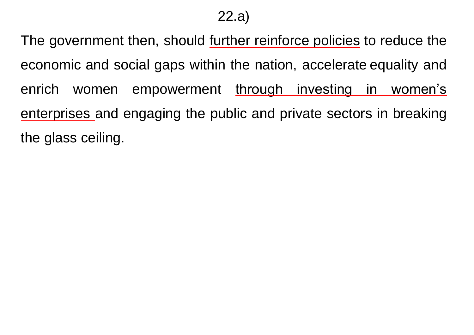### 22.a)

The government then, should further reinforce policies to reduce the economic and social gaps within the nation, accelerate equality and enrich women empowerment through investing in women's enterprises and engaging the public and private sectors in breaking the glass ceiling.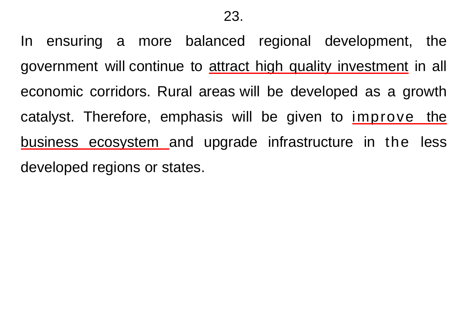In ensuring a more balanced regional development, the government will continue to attract high quality investment in all economic corridors. Rural areas will be developed as a growth catalyst. Therefore, emphasis will be given to improve the business ecosystem and upgrade infrastructure in the less developed regions or states.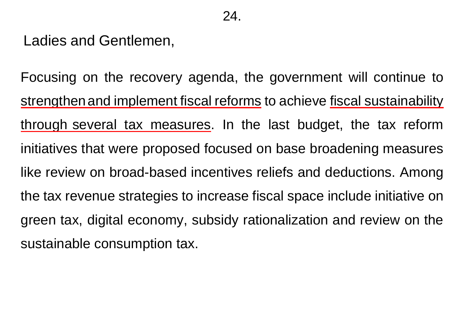Ladies and Gentlemen,

Focusing on the recovery agenda, the government will continue to strengthen and implement fiscal reforms to achieve fiscal sustainability through several tax measures. In the last budget, the tax reform initiatives that were proposed focused on base broadening measures like review on broad-based incentives reliefs and deductions. Among the tax revenue strategies to increase fiscal space include initiative on green tax, digital economy, subsidy rationalization and review on the sustainable consumption tax.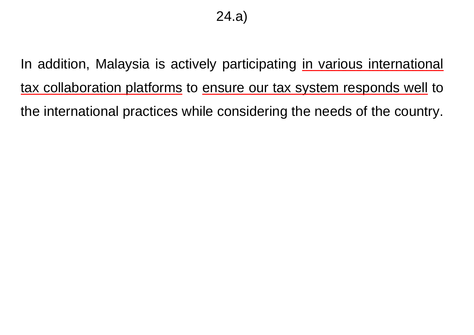In addition, Malaysia is actively participating in various international tax collaboration platforms to ensure our tax system responds well to the international practices while considering the needs of the country.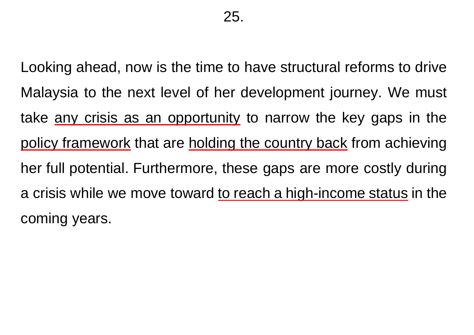Looking ahead, now is the time to have structural reforms to drive Malaysia to the next level of her development journey. We must take any crisis as an opportunity to narrow the key gaps in the policy framework that are holding the country back from achieving her full potential. Furthermore, these gaps are more costly during a crisis while we move toward to reach a high-income status in the coming years.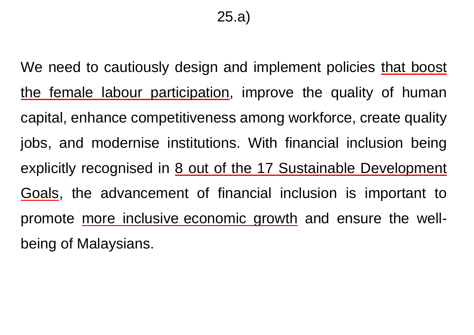We need to cautiously design and implement policies that boost the female labour participation, improve the quality of human capital, enhance competitiveness among workforce, create quality jobs, and modernise institutions. With financial inclusion being explicitly recognised in 8 out of the 17 Sustainable Development Goals, the advancement of financial inclusion is important to promote more inclusive economic growth and ensure the wellbeing of Malaysians.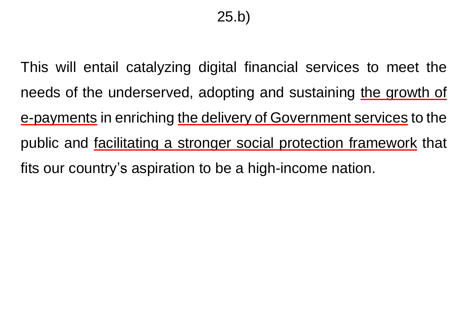This will entail catalyzing digital financial services to meet the needs of the underserved, adopting and sustaining the growth of e-payments in enriching the delivery of Government services to the public and facilitating a stronger social protection framework that fits our country's aspiration to be a high-income nation.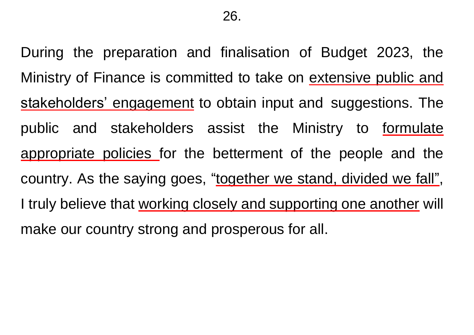During the preparation and finalisation of Budget 2023, the Ministry of Finance is committed to take on extensive public and stakeholders' engagement to obtain input and suggestions. The public and stakeholders assist the Ministry to formulate appropriate policies for the betterment of the people and the country. As the saying goes, "together we stand, divided we fall", I truly believe that working closely and supporting one another will make our country strong and prosperous for all.